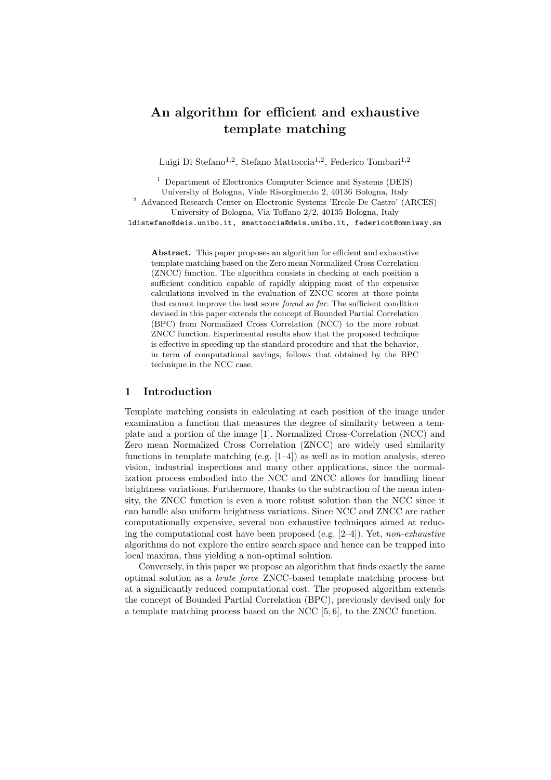# **An algorithm for efficient and exhaustive template matching**

Luigi Di Stefano<sup>1,2</sup>, Stefano Mattoccia<sup>1,2</sup>, Federico Tombari<sup>1,2</sup>

<sup>1</sup> Department of Electronics Computer Science and Systems (DEIS)

University of Bologna, Viale Risorgimento 2, 40136 Bologna, Italy <sup>2</sup> Advanced Research Center on Electronic Systems 'Ercole De Castro' (ARCES) University of Bologna, Via Toffano 2/2, 40135 Bologna, Italy

ldistefano@deis.unibo.it, smattoccia@deis.unibo.it, federicot@omniway.sm

Abstract. This paper proposes an algorithm for efficient and exhaustive template matching based on the Zero mean Normalized Cross Correlation (ZNCC) function. The algorithm consists in checking at each position a sufficient condition capable of rapidly skipping most of the expensive calculations involved in the evaluation of ZNCC scores at those points that cannot improve the best score *found so far*. The sufficient condition devised in this paper extends the concept of Bounded Partial Correlation (BPC) from Normalized Cross Correlation (NCC) to the more robust ZNCC function. Experimental results show that the proposed technique is effective in speeding up the standard procedure and that the behavior, in term of computational savings, follows that obtained by the BPC technique in the NCC case.

#### **1 Introduction**

Template matching consists in calculating at each position of the image under examination a function that measures the degree of similarity between a template and a portion of the image [1]. Normalized Cross-Correlation (NCC) and Zero mean Normalized Cross Correlation (ZNCC) are widely used similarity functions in template matching (e.g.  $[1-4]$ ) as well as in motion analysis, stereo vision, industrial inspections and many other applications, since the normalization process embodied into the NCC and ZNCC allows for handling linear brightness variations. Furthermore, thanks to the subtraction of the mean intensity, the ZNCC function is even a more robust solution than the NCC since it can handle also uniform brightness variations. Since NCC and ZNCC are rather computationally expensive, several non exhaustive techniques aimed at reducing the computational cost have been proposed (e.g. [2–4]). Yet, *non-exhaustive* algorithms do not explore the entire search space and hence can be trapped into local maxima, thus yielding a non-optimal solution.

Conversely, in this paper we propose an algorithm that finds exactly the same optimal solution as a *brute force* ZNCC-based template matching process but at a significantly reduced computational cost. The proposed algorithm extends the concept of Bounded Partial Correlation (BPC), previously devised only for a template matching process based on the NCC [5, 6], to the ZNCC function.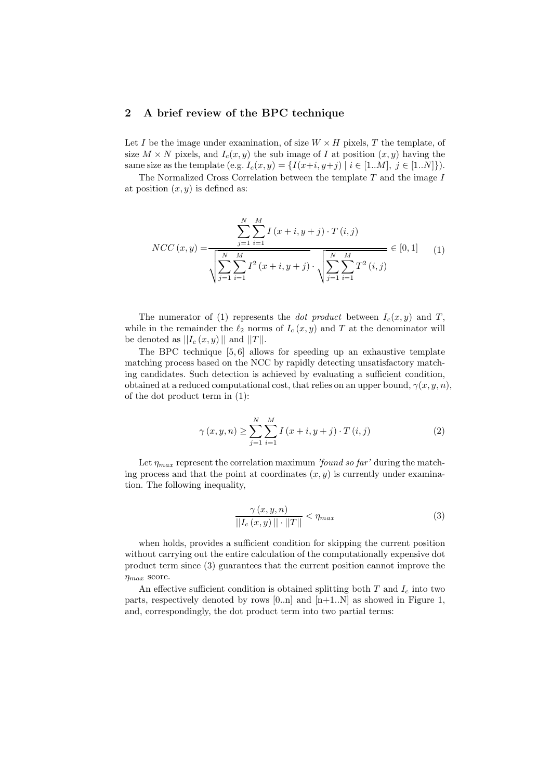## **2 A brief review of the BPC technique**

Let I be the image under examination, of size  $W \times H$  pixels, T the template, of size  $M \times N$  pixels, and  $I_c(x, y)$  the sub image of I at position  $(x, y)$  having the same size as the template (e.g.  $I_c(x, y) = \{I(x+i, y+j) | i \in [1..M], j \in [1..N]\}.$ 

The Normalized Cross Correlation between the template  $T$  and the image  $I$ at position  $(x, y)$  is defined as:

$$
NCC(x, y) = \frac{\sum_{j=1}^{N} \sum_{i=1}^{M} I(x + i, y + j) \cdot T(i, j)}{\sqrt{\sum_{j=1}^{N} \sum_{i=1}^{M} I^{2}(x + i, y + j)} \cdot \sqrt{\sum_{j=1}^{N} \sum_{i=1}^{M} T^{2}(i, j)}} \in [0, 1]
$$
 (1)

The numerator of (1) represents the *dot product* between  $I_c(x, y)$  and T, while in the remainder the  $\ell_2$  norms of  $I_c(x, y)$  and T at the denominator will be denoted as  $||I_c(x, y)||$  and  $||T||$ .

The BPC technique [5, 6] allows for speeding up an exhaustive template matching process based on the NCC by rapidly detecting unsatisfactory matching candidates. Such detection is achieved by evaluating a sufficient condition, obtained at a reduced computational cost, that relies on an upper bound,  $\gamma(x, y, n)$ , of the dot product term in (1):

$$
\gamma(x, y, n) \ge \sum_{j=1}^{N} \sum_{i=1}^{M} I(x + i, y + j) \cdot T(i, j)
$$
 (2)

Let  $\eta_{max}$  represent the correlation maximum *'found so far'* during the matching process and that the point at coordinates  $(x, y)$  is currently under examination. The following inequality,

$$
\frac{\gamma(x, y, n)}{||I_c(x, y)|| \cdot ||T||} < \eta_{max} \tag{3}
$$

when holds, provides a sufficient condition for skipping the current position without carrying out the entire calculation of the computationally expensive dot product term since (3) guarantees that the current position cannot improve the η*max* score.

An effective sufficient condition is obtained splitting both  $T$  and  $I_c$  into two parts, respectively denoted by rows  $[0..n]$  and  $[n+1..N]$  as showed in Figure 1, and, correspondingly, the dot product term into two partial terms: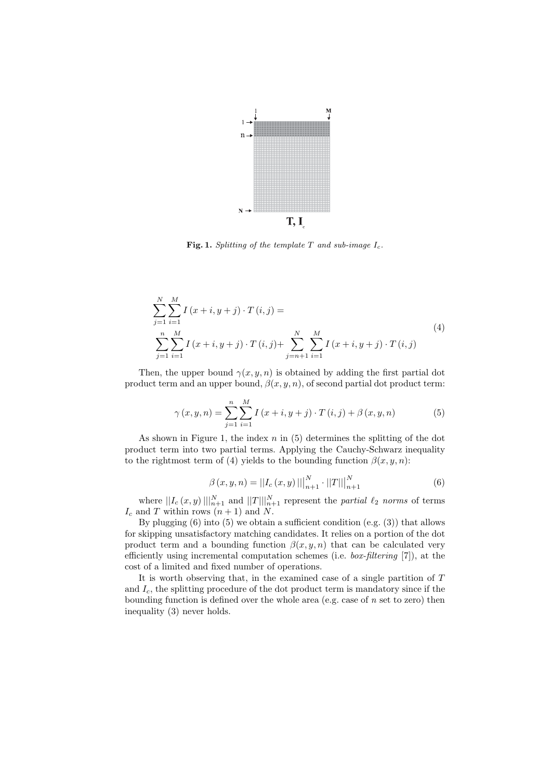

**Fig. 1.** *Splitting of the template* <sup>T</sup> *and sub-image* <sup>I</sup>*c.*

$$
\sum_{j=1}^{N} \sum_{i=1}^{M} I(x+i, y+j) \cdot T(i,j) =
$$
\n
$$
\sum_{j=1}^{n} \sum_{i=1}^{M} I(x+i, y+j) \cdot T(i,j) + \sum_{j=n+1}^{N} \sum_{i=1}^{M} I(x+i, y+j) \cdot T(i,j)
$$
\n(4)

Then, the upper bound  $\gamma(x, y, n)$  is obtained by adding the first partial dot product term and an upper bound,  $\beta(x, y, n)$ , of second partial dot product term:

$$
\gamma(x, y, n) = \sum_{j=1}^{n} \sum_{i=1}^{M} I(x + i, y + j) \cdot T(i, j) + \beta(x, y, n)
$$
(5)

As shown in Figure 1, the index  $n$  in (5) determines the splitting of the dot product term into two partial terms. Applying the Cauchy-Schwarz inequality to the rightmost term of (4) yields to the bounding function  $\beta(x, y, n)$ :

$$
\beta(x, y, n) = ||I_c(x, y)||_{n+1}^N \cdot ||T||_{n+1}^N
$$
\n(6)

where  $||I_c(x,y)||_{n+1}^N$  and  $||T||_{n+1}^N$  represent the *partial*  $\ell_2$  *norms* of terms  $I_c$  and T within rows  $(n+1)$  and N.

By plugging  $(6)$  into  $(5)$  we obtain a sufficient condition  $(e.g. (3))$  that allows for skipping unsatisfactory matching candidates. It relies on a portion of the dot product term and a bounding function  $\beta(x, y, n)$  that can be calculated very efficiently using incremental computation schemes (i.e. *box-filtering* [7]), at the cost of a limited and fixed number of operations.

It is worth observing that, in the examined case of a single partition of T and I*c*, the splitting procedure of the dot product term is mandatory since if the bounding function is defined over the whole area (e.g. case of *n* set to zero) then inequality (3) never holds.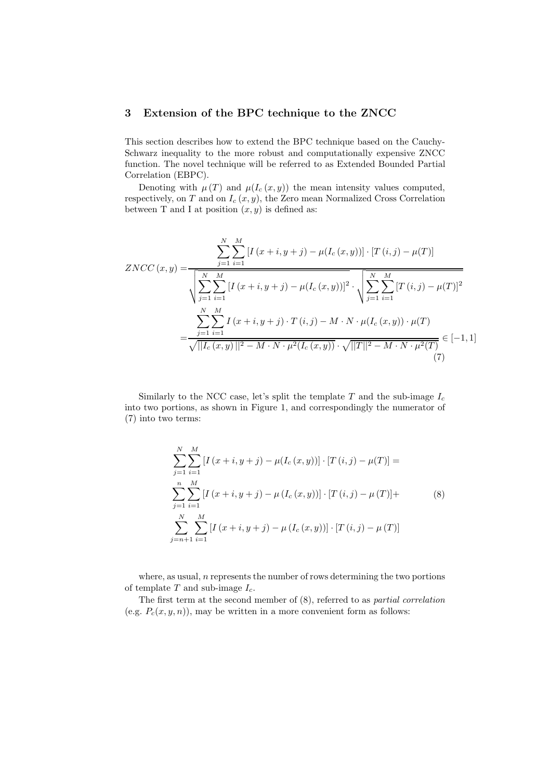# **3 Extension of the BPC technique to the ZNCC**

This section describes how to extend the BPC technique based on the Cauchy-Schwarz inequality to the more robust and computationally expensive ZNCC function. The novel technique will be referred to as Extended Bounded Partial Correlation (EBPC).

Denoting with  $\mu(T)$  and  $\mu(I_c(x, y))$  the mean intensity values computed, respectively, on  $T$  and on  $I_c(x, y)$ , the Zero mean Normalized Cross Correlation between T and I at position  $(x, y)$  is defined as:

$$
ZNCC(x,y) = \frac{\sum_{j=1}^{N} \sum_{i=1}^{M} [I(x+i, y+j) - \mu(I_c(x,y))] \cdot [T(i,j) - \mu(T)]}{\sqrt{\sum_{j=1}^{N} \sum_{i=1}^{M} [I(x+i, y+j) - \mu(I_c(x,y))]^2} \cdot \sqrt{\sum_{j=1}^{N} \sum_{i=1}^{M} [T(i,j) - \mu(T)]^2}
$$

$$
= \frac{\sum_{j=1}^{N} \sum_{i=1}^{M} I(x+i, y+j) \cdot T(i,j) - M \cdot N \cdot \mu(I_c(x,y)) \cdot \mu(T)}{\sqrt{||I_c(x,y)||^2 - M \cdot N \cdot \mu^2(I_c(x,y))} \cdot \sqrt{||T||^2 - M \cdot N \cdot \mu^2(T)}} \in [-1, 1]
$$
(7)

Similarly to the NCC case, let's split the template T and the sub-image I*<sup>c</sup>* into two portions, as shown in Figure 1, and correspondingly the numerator of (7) into two terms:

$$
\sum_{j=1}^{N} \sum_{i=1}^{M} \left[ I(x+i, y+j) - \mu(I_c(x, y)) \right] \cdot \left[ T(i, j) - \mu(T) \right] =
$$
\n
$$
\sum_{j=1}^{n} \sum_{i=1}^{M} \left[ I(x+i, y+j) - \mu(I_c(x, y)) \right] \cdot \left[ T(i, j) - \mu(T) \right] +
$$
\n
$$
\sum_{j=n+1}^{N} \sum_{i=1}^{M} \left[ I(x+i, y+j) - \mu(I_c(x, y)) \right] \cdot \left[ T(i, j) - \mu(T) \right]
$$
\n(8)

where, as usual,  $n$  represents the number of rows determining the two portions of template T and sub-image I*c*.

The first term at the second member of (8), referred to as *partial correlation* (e.g.  $P_c(x, y, n)$ ), may be written in a more convenient form as follows: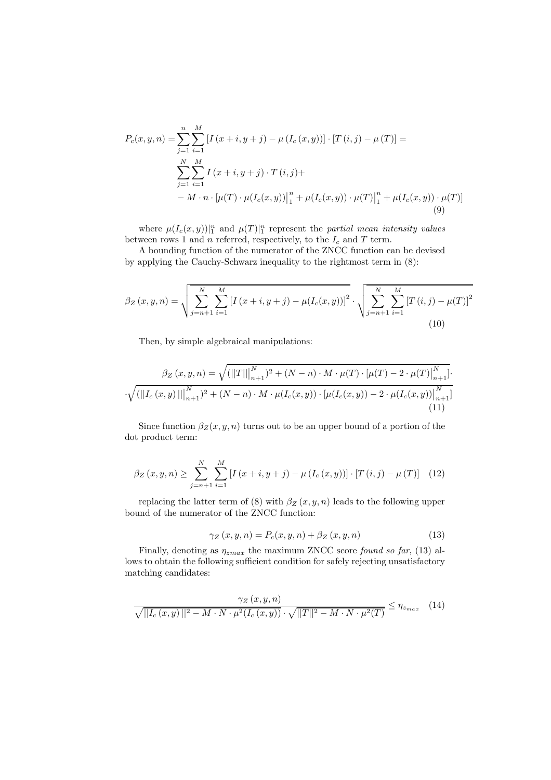$$
P_c(x, y, n) = \sum_{j=1}^{n} \sum_{i=1}^{M} \left[ I(x + i, y + j) - \mu(I_c(x, y)) \right] \cdot \left[ T(i, j) - \mu(T) \right] =
$$
  

$$
\sum_{j=1}^{N} \sum_{i=1}^{M} I(x + i, y + j) \cdot T(i, j) +
$$
  

$$
- M \cdot n \cdot \left[ \mu(T) \cdot \mu(I_c(x, y)) \right]_1^n + \mu(I_c(x, y)) \cdot \mu(T) \Big|_1^n + \mu(I_c(x, y)) \cdot \mu(T) \Big|_1^n
$$
(9)

where  $\mu(I_c(x, y))|_1^n$  and  $\mu(T)|_1^n$  represent the *partial mean intensity values* between rows 1 and  $n$  referred, respectively, to the  $I_c$  and  $T$  term.

A bounding function of the numerator of the ZNCC function can be devised by applying the Cauchy-Schwarz inequality to the rightmost term in (8):

$$
\beta_Z(x, y, n) = \sqrt{\sum_{j=n+1}^{N} \sum_{i=1}^{M} \left[ I\left(x+i, y+j\right) - \mu(I_c(x, y)) \right]^2} \cdot \sqrt{\sum_{j=n+1}^{N} \sum_{i=1}^{M} \left[ T\left(i, j\right) - \mu(T) \right]^2}
$$
\n(10)

Then, by simple algebraical manipulations:

$$
\beta_Z(x, y, n) = \sqrt{(||T|||_{n+1}^N)^2 + (N - n) \cdot M \cdot \mu(T) \cdot [\mu(T) - 2 \cdot \mu(T)|_{n+1}^N]} \cdot \sqrt{(||I_c(x, y)||_{n+1}^N)^2 + (N - n) \cdot M \cdot \mu(I_c(x, y)) \cdot [\mu(I_c(x, y)) - 2 \cdot \mu(I_c(x, y))|_{n+1}^N]}
$$
\n(11)

Since function  $\beta_Z(x, y, n)$  turns out to be an upper bound of a portion of the dot product term:

$$
\beta_Z(x, y, n) \ge \sum_{j=n+1}^{N} \sum_{i=1}^{M} \left[ I\left(x+i, y+j\right) - \mu\left(I_c\left(x, y\right)\right) \right] \cdot \left[ T\left(i, j\right) - \mu\left(T\right) \right] \tag{12}
$$

replacing the latter term of (8) with  $\beta_Z(x, y, n)$  leads to the following upper bound of the numerator of the ZNCC function:

$$
\gamma_Z(x, y, n) = P_c(x, y, n) + \beta_Z(x, y, n) \tag{13}
$$

Finally, denoting as η*zmax* the maximum ZNCC score *found so far*, (13) allows to obtain the following sufficient condition for safely rejecting unsatisfactory matching candidates:

$$
\frac{\gamma_Z(x, y, n)}{\sqrt{||I_c(x, y)||^2 - M \cdot N \cdot \mu^2(I_c(x, y))} \cdot \sqrt{||T||^2 - M \cdot N \cdot \mu^2(T)}} \le \eta_{z_{max}} \quad (14)
$$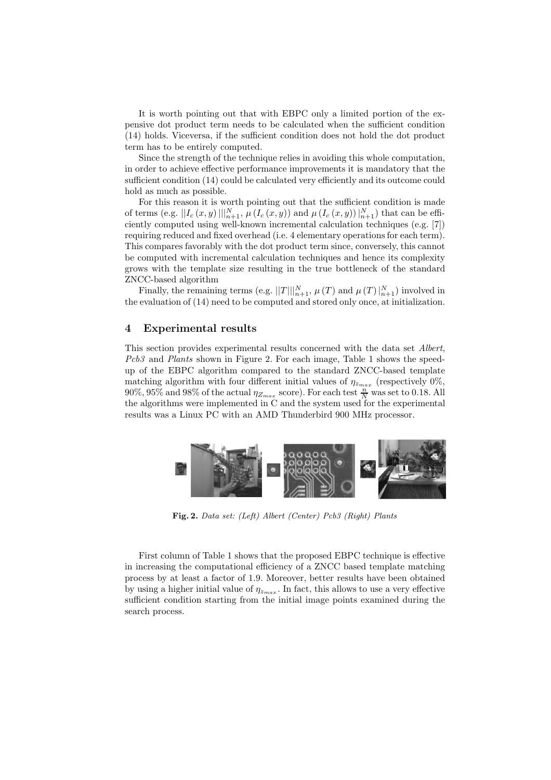It is worth pointing out that with EBPC only a limited portion of the expensive dot product term needs to be calculated when the sufficient condition (14) holds. Viceversa, if the sufficient condition does not hold the dot product term has to be entirely computed.

Since the strength of the technique relies in avoiding this whole computation, in order to achieve effective performance improvements it is mandatory that the sufficient condition (14) could be calculated very efficiently and its outcome could hold as much as possible.

For this reason it is worth pointing out that the sufficient condition is made of terms (e.g.  $||I_c(x, y)||_{n+1}^N$ ,  $\mu(I_c(x, y))$  and  $\mu(I_c(x, y))|_{n+1}^N$ ) that can be efficiently computed using well-known incremental calculation techniques (e.g. [7]) requiring reduced and fixed overhead (i.e. 4 elementary operations for each term). This compares favorably with the dot product term since, conversely, this cannot be computed with incremental calculation techniques and hence its complexity grows with the template size resulting in the true bottleneck of the standard ZNCC-based algorithm

Finally, the remaining terms (e.g.  $||T||_{n+1}^N$ ,  $\mu(T)$  and  $\mu(T)|_{n+1}^N$ ) involved in the evaluation of (14) need to be computed and stored only once, at initialization.

## **4 Experimental results**

This section provides experimental results concerned with the data set *Albert*, *Pcb3* and *Plants* shown in Figure 2. For each image, Table 1 shows the speedup of the EBPC algorithm compared to the standard ZNCC-based template matching algorithm with four different initial values of  $\eta_{z_{max}}$  (respectively 0%, 90%, 95% and 98% of the actual  $\eta_{Z_{max}}$  score). For each test  $\frac{n}{N}$  was set to 0.18. All the algorithms were implemented in C and the system used for the experimental results was a Linux PC with an AMD Thunderbird 900 MHz processor.



**Fig. 2.** *Data set: (Left) Albert (Center) Pcb3 (Right) Plants*

First column of Table 1 shows that the proposed EBPC technique is effective in increasing the computational efficiency of a ZNCC based template matching process by at least a factor of 1.9. Moreover, better results have been obtained by using a higher initial value of  $\eta_{z_{max}}$ . In fact, this allows to use a very effective sufficient condition starting from the initial image points examined during the search process.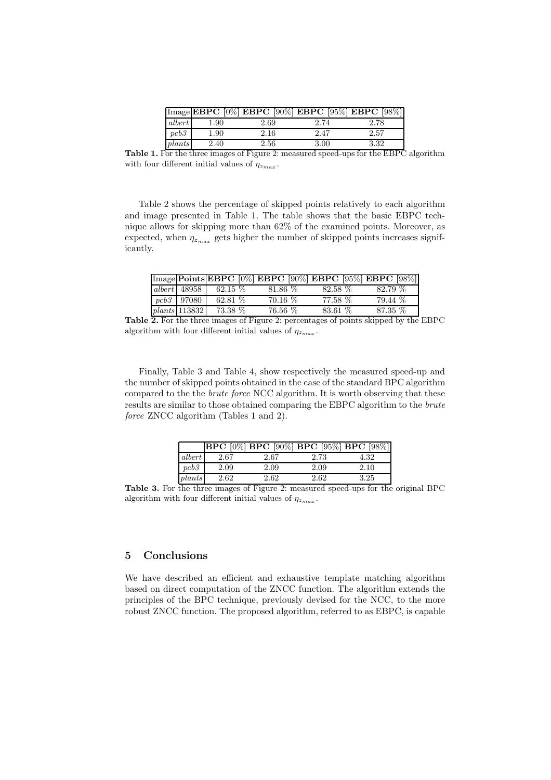|                   |      |      | Image <b>EBPC</b> [0%] <b>EBPC</b> [90%] <b>EBPC</b> [95%] <b>EBPC</b> [98%] |      |
|-------------------|------|------|------------------------------------------------------------------------------|------|
| <i>albert</i>     | 1.90 | 2.69 | 2.74                                                                         | 2.78 |
| pcb3              | 1.90 | 2.16 | 2.47                                                                         | 2.57 |
| $\mathit{plants}$ | 2.40 | 2.56 | 3.00                                                                         | 3.32 |

**Table 1.** For the three images of Figure 2: measured speed-ups for the EBPC algorithm with four different initial values of  $\eta_{z_{max}}$ .

Table 2 shows the percentage of skipped points relatively to each algorithm and image presented in Table 1. The table shows that the basic EBPC technique allows for skipping more than 62% of the examined points. Moreover, as expected, when  $\eta_{z_{max}}$  gets higher the number of skipped points increases significantly.

|                 |           |           |          | $\text{Image}$ Points EBPC [0%] EBPC [90%] EBPC [95%] EBPC [98%] |
|-----------------|-----------|-----------|----------|------------------------------------------------------------------|
| $albert$ 48958  | $62.15\%$ | 81.86 %   | 82.58 %  | 82.79 %                                                          |
| $pcb3$ 97080    | 62.81 $%$ | $70.16\%$ | 77.58 %  | 79.44 %                                                          |
| $plants$ 113832 | 73.38 %   | 76.56 %   | 83.61 \% | 87.35 %                                                          |

**Table 2.** For the three images of Figure 2: percentages of points skipped by the EBPC algorithm with four different initial values of  $\eta_{z_{max}}$ .

Finally, Table 3 and Table 4, show respectively the measured speed-up and the number of skipped points obtained in the case of the standard BPC algorithm compared to the the *brute force* NCC algorithm. It is worth observing that these results are similar to those obtained comparing the EBPC algorithm to the *brute force* ZNCC algorithm (Tables 1 and 2).

|                   |      |      | <b>BPC</b> [0%] <b>BPC</b> [90%] <b>BPC</b> [95%] <b>BPC</b> [98%] |      |
|-------------------|------|------|--------------------------------------------------------------------|------|
| albert            | 2.67 | 2.67 | 2.73                                                               | 4.32 |
| pcb3              | 2.09 | 2.09 | 2.09                                                               | 2.10 |
| $\mathit{plants}$ | 2.62 | 2.62 | 2.62                                                               | 3.25 |

Table 3. For the three images of Figure 2: measured speed-ups for the original BPC algorithm with four different initial values of  $\eta_{z_{max}}$ .

## **5 Conclusions**

We have described an efficient and exhaustive template matching algorithm based on direct computation of the ZNCC function. The algorithm extends the principles of the BPC technique, previously devised for the NCC, to the more robust ZNCC function. The proposed algorithm, referred to as EBPC, is capable